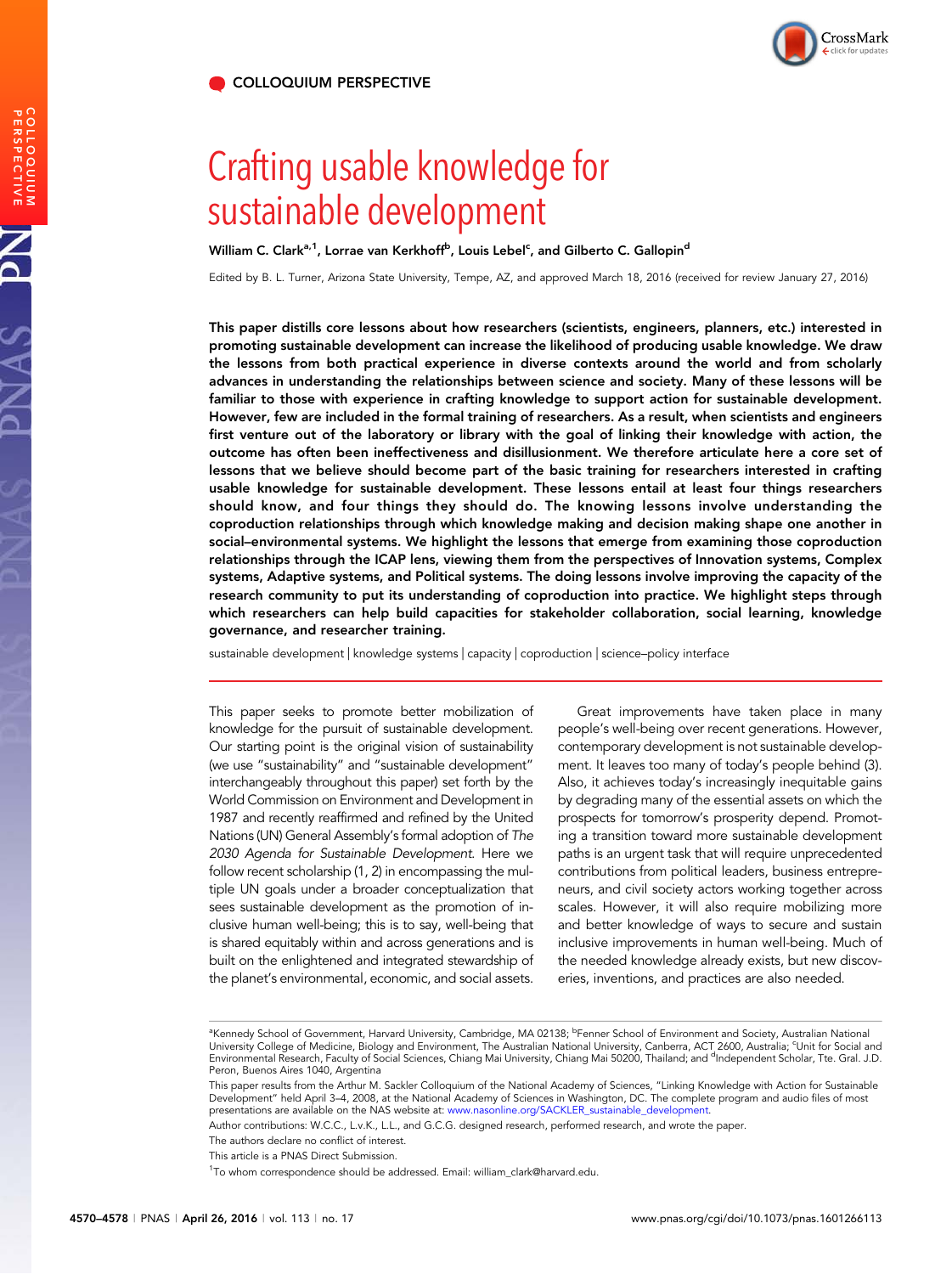PERSPECTIVE COLLOQUIUM

PNAS



# Crafting usable knowledge for sustainable development

William C. Clark<sup>a, 1</sup>, Lorrae van Kerkhoff<sup>b</sup>, Louis Lebel<sup>c</sup>, and Gilberto C. Gallopin<sup>d</sup>

Edited by B. L. Turner, Arizona State University, Tempe, AZ, and approved March 18, 2016 (received for review January 27, 2016)

This paper distills core lessons about how researchers (scientists, engineers, planners, etc.) interested in promoting sustainable development can increase the likelihood of producing usable knowledge. We draw the lessons from both practical experience in diverse contexts around the world and from scholarly advances in understanding the relationships between science and society. Many of these lessons will be familiar to those with experience in crafting knowledge to support action for sustainable development. However, few are included in the formal training of researchers. As a result, when scientists and engineers first venture out of the laboratory or library with the goal of linking their knowledge with action, the outcome has often been ineffectiveness and disillusionment. We therefore articulate here a core set of lessons that we believe should become part of the basic training for researchers interested in crafting usable knowledge for sustainable development. These lessons entail at least four things researchers should know, and four things they should do. The knowing lessons involve understanding the coproduction relationships through which knowledge making and decision making shape one another in social–environmental systems. We highlight the lessons that emerge from examining those coproduction relationships through the ICAP lens, viewing them from the perspectives of Innovation systems, Complex systems, Adaptive systems, and Political systems. The doing lessons involve improving the capacity of the research community to put its understanding of coproduction into practice. We highlight steps through which researchers can help build capacities for stakeholder collaboration, social learning, knowledge governance, and researcher training.

sustainable development | knowledge systems | capacity | coproduction | science–policy interface

This paper seeks to promote better mobilization of knowledge for the pursuit of sustainable development. Our starting point is the original vision of sustainability (we use "sustainability" and "sustainable development" interchangeably throughout this paper) set forth by the World Commission on Environment and Development in 1987 and recently reaffirmed and refined by the United Nations (UN) General Assembly's formal adoption of The 2030 Agenda for Sustainable Development. Here we follow recent scholarship (1, 2) in encompassing the multiple UN goals under a broader conceptualization that sees sustainable development as the promotion of inclusive human well-being; this is to say, well-being that is shared equitably within and across generations and is built on the enlightened and integrated stewardship of the planet's environmental, economic, and social assets.

Great improvements have taken place in many people's well-being over recent generations. However, contemporary development is not sustainable development. It leaves too many of today's people behind (3). Also, it achieves today's increasingly inequitable gains by degrading many of the essential assets on which the prospects for tomorrow's prosperity depend. Promoting a transition toward more sustainable development paths is an urgent task that will require unprecedented contributions from political leaders, business entrepreneurs, and civil society actors working together across scales. However, it will also require mobilizing more and better knowledge of ways to secure and sustain inclusive improvements in human well-being. Much of the needed knowledge already exists, but new discoveries, inventions, and practices are also needed.

Author contributions: W.C.C., L.v.K., L.L., and G.C.G. designed research, performed research, and wrote the paper.

The authors declare no conflict of interest.

This article is a PNAS Direct Submission.

<sup>&</sup>lt;sup>a</sup>Kennedy School of Government, Harvard University, Cambridge, MA 02138; <sup>b</sup>Fenner School of Environment and Society, Australian National<br>University College of Medicine, Biology and Environment, The Australian National Un Peron, Buenos Aires 1040, Argentina

This paper results from the Arthur M. Sackler Colloquium of the National Academy of Sciences, "Linking Knowledge with Action for Sustainable Development" held April 3–4, 2008, at the National Academy of Sciences in Washington, DC. The complete program and audio files of most<br>presentations are available on the NAS website at: www.nasonline.org/SACKLER\_sustainabl

<sup>&</sup>lt;sup>1</sup>To whom correspondence should be addressed. Email: [william\\_clark@harvard.edu](mailto:william_clark@harvard.edu).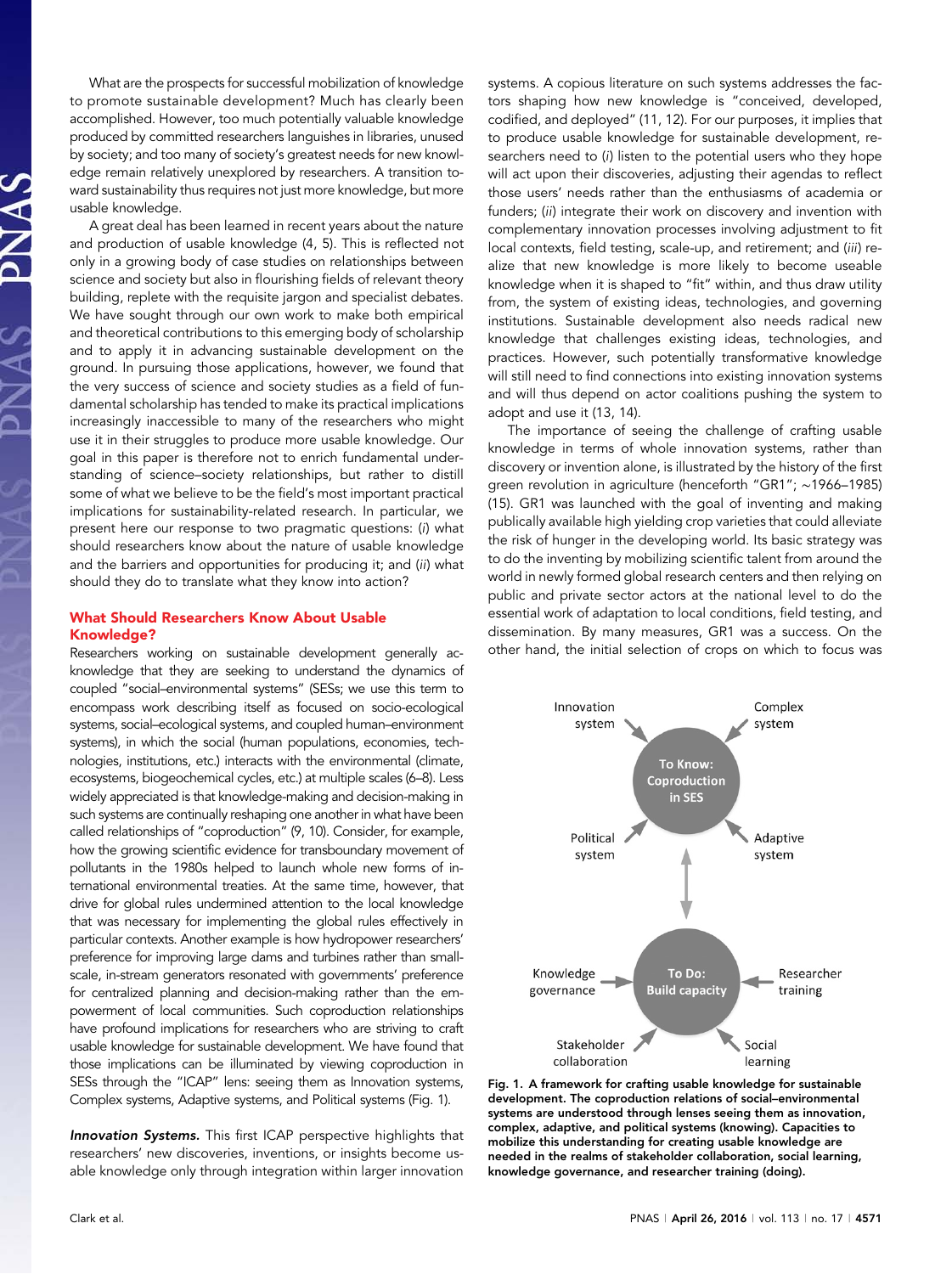What are the prospects for successful mobilization of knowledge to promote sustainable development? Much has clearly been accomplished. However, too much potentially valuable knowledge produced by committed researchers languishes in libraries, unused by society; and too many of society's greatest needs for new knowledge remain relatively unexplored by researchers. A transition toward sustainability thus requires not just more knowledge, but more usable knowledge.

A great deal has been learned in recent years about the nature and production of usable knowledge (4, 5). This is reflected not only in a growing body of case studies on relationships between science and society but also in flourishing fields of relevant theory building, replete with the requisite jargon and specialist debates. We have sought through our own work to make both empirical and theoretical contributions to this emerging body of scholarship and to apply it in advancing sustainable development on the ground. In pursuing those applications, however, we found that the very success of science and society studies as a field of fundamental scholarship has tended to make its practical implications increasingly inaccessible to many of the researchers who might use it in their struggles to produce more usable knowledge. Our goal in this paper is therefore not to enrich fundamental understanding of science–society relationships, but rather to distill some of what we believe to be the field's most important practical implications for sustainability-related research. In particular, we present here our response to two pragmatic questions: (i) what should researchers know about the nature of usable knowledge and the barriers and opportunities for producing it; and (ii) what should they do to translate what they know into action?

# What Should Researchers Know About Usable Knowledge?

Researchers working on sustainable development generally acknowledge that they are seeking to understand the dynamics of coupled "social–environmental systems" (SESs; we use this term to encompass work describing itself as focused on socio-ecological systems, social–ecological systems, and coupled human–environment systems), in which the social (human populations, economies, technologies, institutions, etc.) interacts with the environmental (climate, ecosystems, biogeochemical cycles, etc.) at multiple scales (6–8). Less widely appreciated is that knowledge-making and decision-making in such systems are continually reshaping one another in what have been called relationships of "coproduction" (9, 10). Consider, for example, how the growing scientific evidence for transboundary movement of pollutants in the 1980s helped to launch whole new forms of international environmental treaties. At the same time, however, that drive for global rules undermined attention to the local knowledge that was necessary for implementing the global rules effectively in particular contexts. Another example is how hydropower researchers' preference for improving large dams and turbines rather than smallscale, in-stream generators resonated with governments' preference for centralized planning and decision-making rather than the empowerment of local communities. Such coproduction relationships have profound implications for researchers who are striving to craft usable knowledge for sustainable development. We have found that those implications can be illuminated by viewing coproduction in SESs through the "ICAP" lens: seeing them as Innovation systems, Complex systems, Adaptive systems, and Political systems (Fig. 1).

Innovation Systems. This first ICAP perspective highlights that researchers' new discoveries, inventions, or insights become usable knowledge only through integration within larger innovation systems. A copious literature on such systems addresses the factors shaping how new knowledge is "conceived, developed, codified, and deployed" (11, 12). For our purposes, it implies that to produce usable knowledge for sustainable development, researchers need to (i) listen to the potential users who they hope will act upon their discoveries, adjusting their agendas to reflect those users' needs rather than the enthusiasms of academia or funders; (ii) integrate their work on discovery and invention with complementary innovation processes involving adjustment to fit local contexts, field testing, scale-up, and retirement; and (iii) realize that new knowledge is more likely to become useable knowledge when it is shaped to "fit" within, and thus draw utility from, the system of existing ideas, technologies, and governing institutions. Sustainable development also needs radical new knowledge that challenges existing ideas, technologies, and practices. However, such potentially transformative knowledge will still need to find connections into existing innovation systems and will thus depend on actor coalitions pushing the system to adopt and use it (13, 14).

The importance of seeing the challenge of crafting usable knowledge in terms of whole innovation systems, rather than discovery or invention alone, is illustrated by the history of the first green revolution in agriculture (henceforth "GR1"; ∼1966–1985) (15). GR1 was launched with the goal of inventing and making publically available high yielding crop varieties that could alleviate the risk of hunger in the developing world. Its basic strategy was to do the inventing by mobilizing scientific talent from around the world in newly formed global research centers and then relying on public and private sector actors at the national level to do the essential work of adaptation to local conditions, field testing, and dissemination. By many measures, GR1 was a success. On the other hand, the initial selection of crops on which to focus was



Fig. 1. A framework for crafting usable knowledge for sustainable development. The coproduction relations of social–environmental systems are understood through lenses seeing them as innovation, complex, adaptive, and political systems (knowing). Capacities to mobilize this understanding for creating usable knowledge are needed in the realms of stakeholder collaboration, social learning, knowledge governance, and researcher training (doing).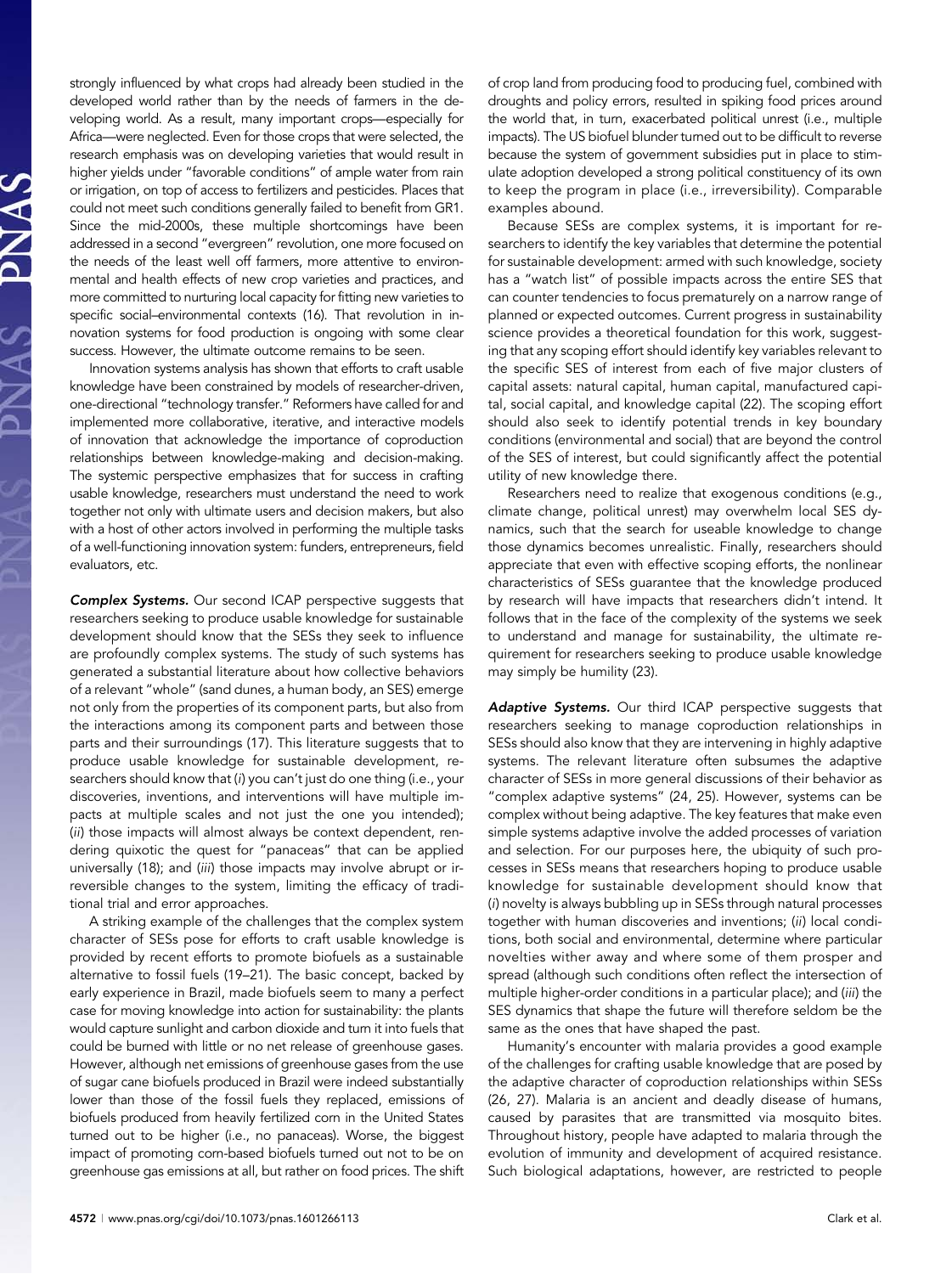strongly influenced by what crops had already been studied in the developed world rather than by the needs of farmers in the developing world. As a result, many important crops—especially for Africa—were neglected. Even for those crops that were selected, the research emphasis was on developing varieties that would result in higher yields under "favorable conditions" of ample water from rain or irrigation, on top of access to fertilizers and pesticides. Places that could not meet such conditions generally failed to benefit from GR1. Since the mid-2000s, these multiple shortcomings have been addressed in a second "evergreen" revolution, one more focused on the needs of the least well off farmers, more attentive to environmental and health effects of new crop varieties and practices, and more committed to nurturing local capacity for fitting new varieties to specific social–environmental contexts (16). That revolution in innovation systems for food production is ongoing with some clear success. However, the ultimate outcome remains to be seen.

Innovation systems analysis has shown that efforts to craft usable knowledge have been constrained by models of researcher-driven, one-directional "technology transfer." Reformers have called for and implemented more collaborative, iterative, and interactive models of innovation that acknowledge the importance of coproduction relationships between knowledge-making and decision-making. The systemic perspective emphasizes that for success in crafting usable knowledge, researchers must understand the need to work together not only with ultimate users and decision makers, but also with a host of other actors involved in performing the multiple tasks of a well-functioning innovation system: funders, entrepreneurs, field evaluators, etc.

**Complex Systems.** Our second ICAP perspective suggests that researchers seeking to produce usable knowledge for sustainable development should know that the SESs they seek to influence are profoundly complex systems. The study of such systems has generated a substantial literature about how collective behaviors of a relevant "whole" (sand dunes, a human body, an SES) emerge not only from the properties of its component parts, but also from the interactions among its component parts and between those parts and their surroundings (17). This literature suggests that to produce usable knowledge for sustainable development, researchers should know that (i) you can't just do one thing (i.e., your discoveries, inventions, and interventions will have multiple impacts at multiple scales and not just the one you intended); (ii) those impacts will almost always be context dependent, rendering quixotic the quest for "panaceas" that can be applied universally (18); and (iii) those impacts may involve abrupt or irreversible changes to the system, limiting the efficacy of traditional trial and error approaches.

A striking example of the challenges that the complex system character of SESs pose for efforts to craft usable knowledge is provided by recent efforts to promote biofuels as a sustainable alternative to fossil fuels (19–21). The basic concept, backed by early experience in Brazil, made biofuels seem to many a perfect case for moving knowledge into action for sustainability: the plants would capture sunlight and carbon dioxide and turn it into fuels that could be burned with little or no net release of greenhouse gases. However, although net emissions of greenhouse gases from the use of sugar cane biofuels produced in Brazil were indeed substantially lower than those of the fossil fuels they replaced, emissions of biofuels produced from heavily fertilized corn in the United States turned out to be higher (i.e., no panaceas). Worse, the biggest impact of promoting corn-based biofuels turned out not to be on greenhouse gas emissions at all, but rather on food prices. The shift

of crop land from producing food to producing fuel, combined with droughts and policy errors, resulted in spiking food prices around the world that, in turn, exacerbated political unrest (i.e., multiple impacts). The US biofuel blunder turned out to be difficult to reverse because the system of government subsidies put in place to stimulate adoption developed a strong political constituency of its own to keep the program in place (i.e., irreversibility). Comparable examples abound.

Because SESs are complex systems, it is important for researchers to identify the key variables that determine the potential for sustainable development: armed with such knowledge, society has a "watch list" of possible impacts across the entire SES that can counter tendencies to focus prematurely on a narrow range of planned or expected outcomes. Current progress in sustainability science provides a theoretical foundation for this work, suggesting that any scoping effort should identify key variables relevant to the specific SES of interest from each of five major clusters of capital assets: natural capital, human capital, manufactured capital, social capital, and knowledge capital (22). The scoping effort should also seek to identify potential trends in key boundary conditions (environmental and social) that are beyond the control of the SES of interest, but could significantly affect the potential utility of new knowledge there.

Researchers need to realize that exogenous conditions (e.g., climate change, political unrest) may overwhelm local SES dynamics, such that the search for useable knowledge to change those dynamics becomes unrealistic. Finally, researchers should appreciate that even with effective scoping efforts, the nonlinear characteristics of SESs guarantee that the knowledge produced by research will have impacts that researchers didn't intend. It follows that in the face of the complexity of the systems we seek to understand and manage for sustainability, the ultimate requirement for researchers seeking to produce usable knowledge may simply be humility (23).

Adaptive Systems. Our third ICAP perspective suggests that researchers seeking to manage coproduction relationships in SESs should also know that they are intervening in highly adaptive systems. The relevant literature often subsumes the adaptive character of SESs in more general discussions of their behavior as "complex adaptive systems" (24, 25). However, systems can be complex without being adaptive. The key features that make even simple systems adaptive involve the added processes of variation and selection. For our purposes here, the ubiquity of such processes in SESs means that researchers hoping to produce usable knowledge for sustainable development should know that (i) novelty is always bubbling up in SESs through natural processes together with human discoveries and inventions; (ii) local conditions, both social and environmental, determine where particular novelties wither away and where some of them prosper and spread (although such conditions often reflect the intersection of multiple higher-order conditions in a particular place); and (iii) the SES dynamics that shape the future will therefore seldom be the same as the ones that have shaped the past.

Humanity's encounter with malaria provides a good example of the challenges for crafting usable knowledge that are posed by the adaptive character of coproduction relationships within SESs (26, 27). Malaria is an ancient and deadly disease of humans, caused by parasites that are transmitted via mosquito bites. Throughout history, people have adapted to malaria through the evolution of immunity and development of acquired resistance. Such biological adaptations, however, are restricted to people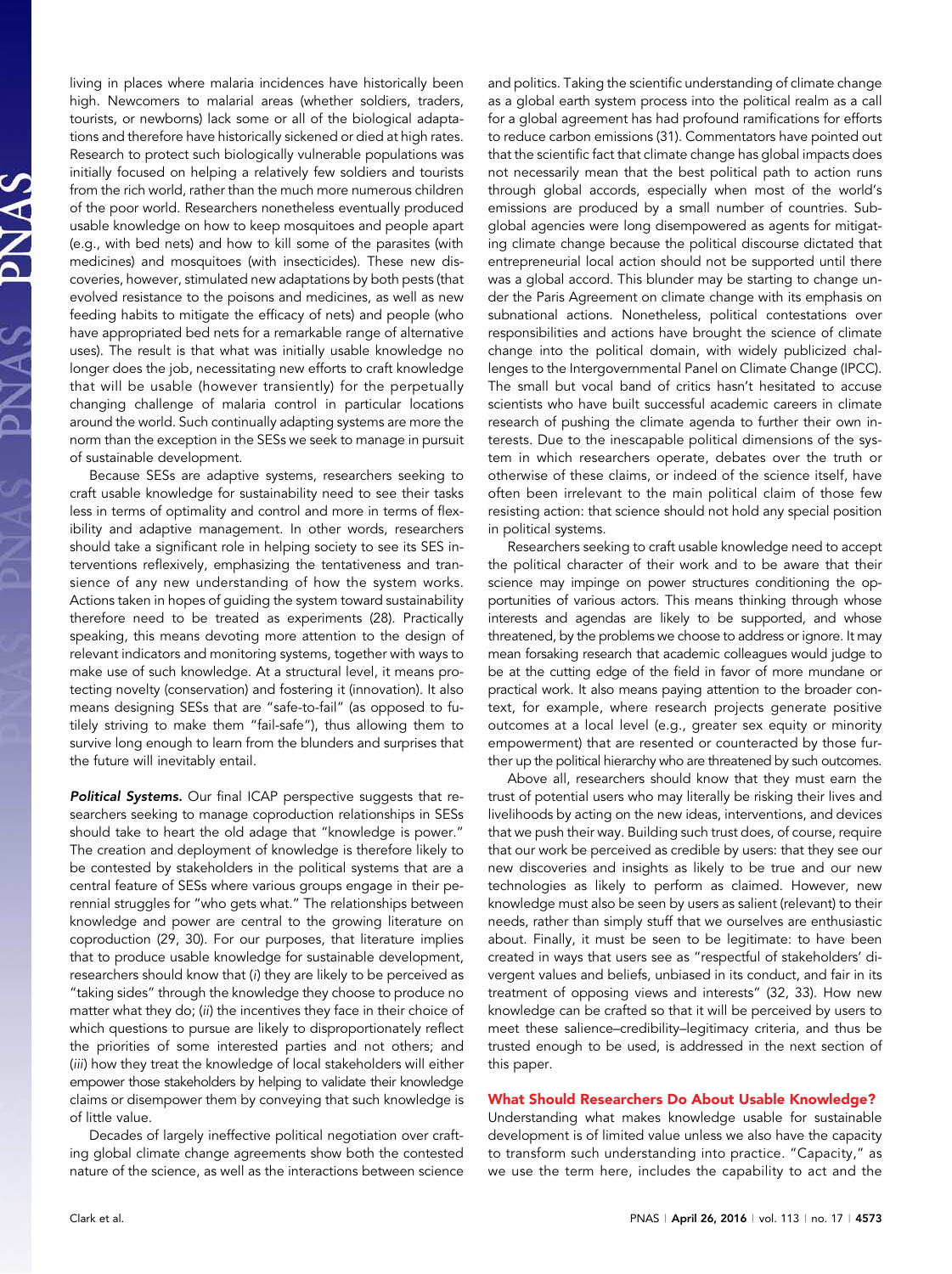living in places where malaria incidences have historically been high. Newcomers to malarial areas (whether soldiers, traders, tourists, or newborns) lack some or all of the biological adaptations and therefore have historically sickened or died at high rates. Research to protect such biologically vulnerable populations was initially focused on helping a relatively few soldiers and tourists from the rich world, rather than the much more numerous children of the poor world. Researchers nonetheless eventually produced usable knowledge on how to keep mosquitoes and people apart (e.g., with bed nets) and how to kill some of the parasites (with medicines) and mosquitoes (with insecticides). These new discoveries, however, stimulated new adaptations by both pests (that evolved resistance to the poisons and medicines, as well as new feeding habits to mitigate the efficacy of nets) and people (who have appropriated bed nets for a remarkable range of alternative uses). The result is that what was initially usable knowledge no longer does the job, necessitating new efforts to craft knowledge that will be usable (however transiently) for the perpetually changing challenge of malaria control in particular locations around the world. Such continually adapting systems are more the norm than the exception in the SESs we seek to manage in pursuit of sustainable development.

Because SESs are adaptive systems, researchers seeking to craft usable knowledge for sustainability need to see their tasks less in terms of optimality and control and more in terms of flexibility and adaptive management. In other words, researchers should take a significant role in helping society to see its SES interventions reflexively, emphasizing the tentativeness and transience of any new understanding of how the system works. Actions taken in hopes of guiding the system toward sustainability therefore need to be treated as experiments (28). Practically speaking, this means devoting more attention to the design of relevant indicators and monitoring systems, together with ways to make use of such knowledge. At a structural level, it means protecting novelty (conservation) and fostering it (innovation). It also means designing SESs that are "safe-to-fail" (as opposed to futilely striving to make them "fail-safe"), thus allowing them to survive long enough to learn from the blunders and surprises that the future will inevitably entail.

Political Systems. Our final ICAP perspective suggests that researchers seeking to manage coproduction relationships in SESs should take to heart the old adage that "knowledge is power." The creation and deployment of knowledge is therefore likely to be contested by stakeholders in the political systems that are a central feature of SESs where various groups engage in their perennial struggles for "who gets what." The relationships between knowledge and power are central to the growing literature on coproduction (29, 30). For our purposes, that literature implies that to produce usable knowledge for sustainable development, researchers should know that (i) they are likely to be perceived as "taking sides" through the knowledge they choose to produce no matter what they do; (ii) the incentives they face in their choice of which questions to pursue are likely to disproportionately reflect the priorities of some interested parties and not others; and (iii) how they treat the knowledge of local stakeholders will either empower those stakeholders by helping to validate their knowledge claims or disempower them by conveying that such knowledge is of little value.

Decades of largely ineffective political negotiation over crafting global climate change agreements show both the contested nature of the science, as well as the interactions between science and politics. Taking the scientific understanding of climate change as a global earth system process into the political realm as a call for a global agreement has had profound ramifications for efforts to reduce carbon emissions (31). Commentators have pointed out that the scientific fact that climate change has global impacts does not necessarily mean that the best political path to action runs through global accords, especially when most of the world's emissions are produced by a small number of countries. Subglobal agencies were long disempowered as agents for mitigating climate change because the political discourse dictated that entrepreneurial local action should not be supported until there was a global accord. This blunder may be starting to change under the Paris Agreement on climate change with its emphasis on subnational actions. Nonetheless, political contestations over responsibilities and actions have brought the science of climate change into the political domain, with widely publicized challenges to the Intergovernmental Panel on Climate Change (IPCC). The small but vocal band of critics hasn't hesitated to accuse scientists who have built successful academic careers in climate research of pushing the climate agenda to further their own interests. Due to the inescapable political dimensions of the system in which researchers operate, debates over the truth or otherwise of these claims, or indeed of the science itself, have often been irrelevant to the main political claim of those few resisting action: that science should not hold any special position in political systems.

Researchers seeking to craft usable knowledge need to accept the political character of their work and to be aware that their science may impinge on power structures conditioning the opportunities of various actors. This means thinking through whose interests and agendas are likely to be supported, and whose threatened, by the problems we choose to address or ignore. It may mean forsaking research that academic colleagues would judge to be at the cutting edge of the field in favor of more mundane or practical work. It also means paying attention to the broader context, for example, where research projects generate positive outcomes at a local level (e.g., greater sex equity or minority empowerment) that are resented or counteracted by those further up the political hierarchy who are threatened by such outcomes.

Above all, researchers should know that they must earn the trust of potential users who may literally be risking their lives and livelihoods by acting on the new ideas, interventions, and devices that we push their way. Building such trust does, of course, require that our work be perceived as credible by users: that they see our new discoveries and insights as likely to be true and our new technologies as likely to perform as claimed. However, new knowledge must also be seen by users as salient (relevant) to their needs, rather than simply stuff that we ourselves are enthusiastic about. Finally, it must be seen to be legitimate: to have been created in ways that users see as "respectful of stakeholders' divergent values and beliefs, unbiased in its conduct, and fair in its treatment of opposing views and interests" (32, 33). How new knowledge can be crafted so that it will be perceived by users to meet these salience–credibility–legitimacy criteria, and thus be trusted enough to be used, is addressed in the next section of this paper.

### What Should Researchers Do About Usable Knowledge?

Understanding what makes knowledge usable for sustainable development is of limited value unless we also have the capacity to transform such understanding into practice. "Capacity," as we use the term here, includes the capability to act and the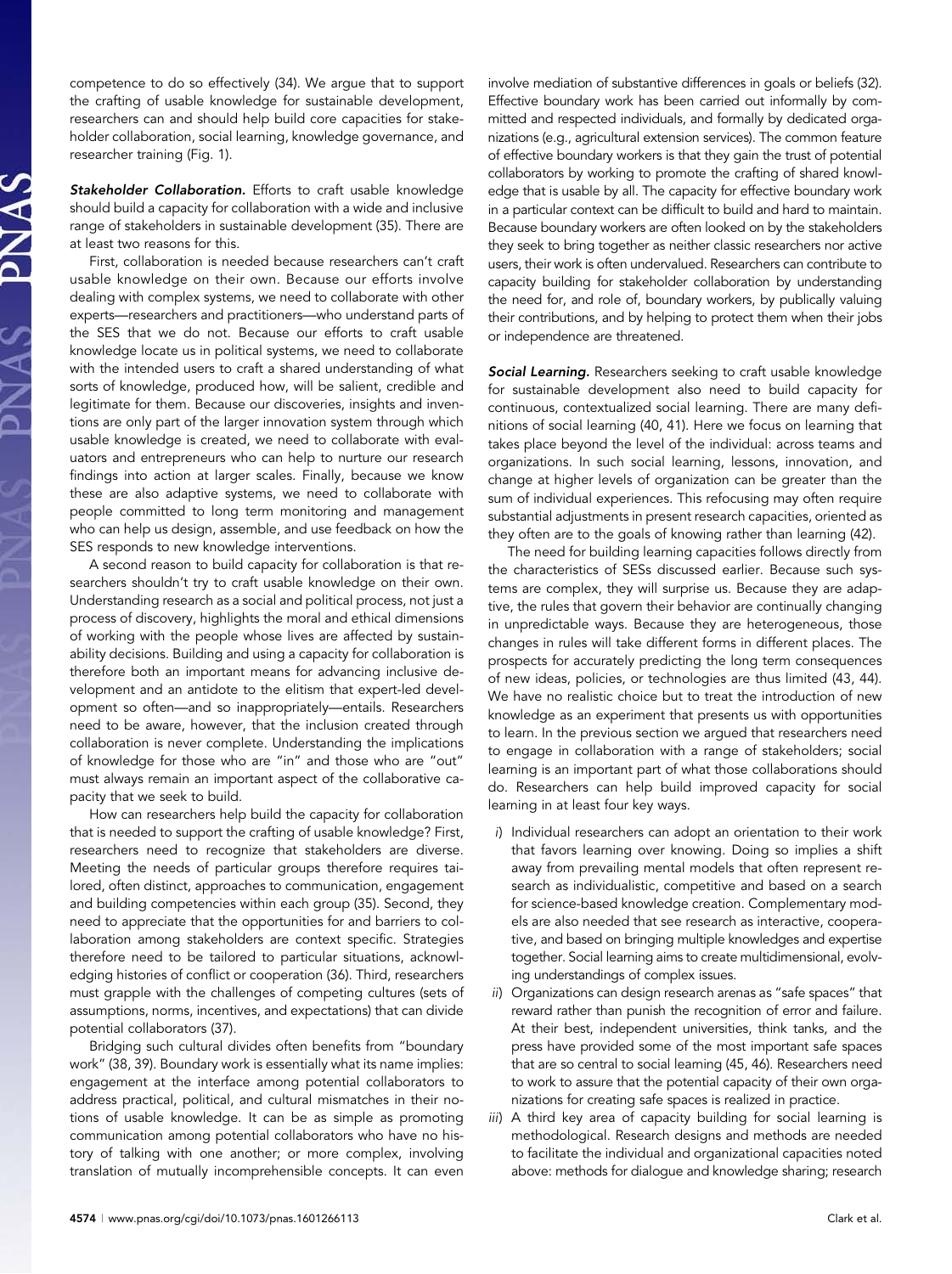competence to do so effectively (34). We argue that to support the crafting of usable knowledge for sustainable development, researchers can and should help build core capacities for stakeholder collaboration, social learning, knowledge governance, and researcher training (Fig. 1).

Stakeholder Collaboration. Efforts to craft usable knowledge should build a capacity for collaboration with a wide and inclusive range of stakeholders in sustainable development (35). There are at least two reasons for this.

First, collaboration is needed because researchers can't craft usable knowledge on their own. Because our efforts involve dealing with complex systems, we need to collaborate with other experts—researchers and practitioners—who understand parts of the SES that we do not. Because our efforts to craft usable knowledge locate us in political systems, we need to collaborate with the intended users to craft a shared understanding of what sorts of knowledge, produced how, will be salient, credible and legitimate for them. Because our discoveries, insights and inventions are only part of the larger innovation system through which usable knowledge is created, we need to collaborate with evaluators and entrepreneurs who can help to nurture our research findings into action at larger scales. Finally, because we know these are also adaptive systems, we need to collaborate with people committed to long term monitoring and management who can help us design, assemble, and use feedback on how the SES responds to new knowledge interventions.

A second reason to build capacity for collaboration is that researchers shouldn't try to craft usable knowledge on their own. Understanding research as a social and political process, not just a process of discovery, highlights the moral and ethical dimensions of working with the people whose lives are affected by sustainability decisions. Building and using a capacity for collaboration is therefore both an important means for advancing inclusive development and an antidote to the elitism that expert-led development so often—and so inappropriately—entails. Researchers need to be aware, however, that the inclusion created through collaboration is never complete. Understanding the implications of knowledge for those who are "in" and those who are "out" must always remain an important aspect of the collaborative capacity that we seek to build.

How can researchers help build the capacity for collaboration that is needed to support the crafting of usable knowledge? First, researchers need to recognize that stakeholders are diverse. Meeting the needs of particular groups therefore requires tailored, often distinct, approaches to communication, engagement and building competencies within each group (35). Second, they need to appreciate that the opportunities for and barriers to collaboration among stakeholders are context specific. Strategies therefore need to be tailored to particular situations, acknowledging histories of conflict or cooperation (36). Third, researchers must grapple with the challenges of competing cultures (sets of assumptions, norms, incentives, and expectations) that can divide potential collaborators (37).

Bridging such cultural divides often benefits from "boundary work" (38, 39). Boundary work is essentially what its name implies: engagement at the interface among potential collaborators to address practical, political, and cultural mismatches in their notions of usable knowledge. It can be as simple as promoting communication among potential collaborators who have no history of talking with one another; or more complex, involving translation of mutually incomprehensible concepts. It can even involve mediation of substantive differences in goals or beliefs (32). Effective boundary work has been carried out informally by committed and respected individuals, and formally by dedicated organizations (e.g., agricultural extension services). The common feature of effective boundary workers is that they gain the trust of potential collaborators by working to promote the crafting of shared knowledge that is usable by all. The capacity for effective boundary work in a particular context can be difficult to build and hard to maintain. Because boundary workers are often looked on by the stakeholders they seek to bring together as neither classic researchers nor active users, their work is often undervalued. Researchers can contribute to capacity building for stakeholder collaboration by understanding the need for, and role of, boundary workers, by publically valuing their contributions, and by helping to protect them when their jobs or independence are threatened.

Social Learning. Researchers seeking to craft usable knowledge for sustainable development also need to build capacity for continuous, contextualized social learning. There are many definitions of social learning (40, 41). Here we focus on learning that takes place beyond the level of the individual: across teams and organizations. In such social learning, lessons, innovation, and change at higher levels of organization can be greater than the sum of individual experiences. This refocusing may often require substantial adjustments in present research capacities, oriented as they often are to the goals of knowing rather than learning (42).

The need for building learning capacities follows directly from the characteristics of SESs discussed earlier. Because such systems are complex, they will surprise us. Because they are adaptive, the rules that govern their behavior are continually changing in unpredictable ways. Because they are heterogeneous, those changes in rules will take different forms in different places. The prospects for accurately predicting the long term consequences of new ideas, policies, or technologies are thus limited (43, 44). We have no realistic choice but to treat the introduction of new knowledge as an experiment that presents us with opportunities to learn. In the previous section we argued that researchers need to engage in collaboration with a range of stakeholders; social learning is an important part of what those collaborations should do. Researchers can help build improved capacity for social learning in at least four key ways.

- i) Individual researchers can adopt an orientation to their work that favors learning over knowing. Doing so implies a shift away from prevailing mental models that often represent research as individualistic, competitive and based on a search for science-based knowledge creation. Complementary models are also needed that see research as interactive, cooperative, and based on bringing multiple knowledges and expertise together. Social learning aims to create multidimensional, evolving understandings of complex issues.
- ii) Organizations can design research arenas as "safe spaces" that reward rather than punish the recognition of error and failure. At their best, independent universities, think tanks, and the press have provided some of the most important safe spaces that are so central to social learning (45, 46). Researchers need to work to assure that the potential capacity of their own organizations for creating safe spaces is realized in practice.
- iii) A third key area of capacity building for social learning is methodological. Research designs and methods are needed to facilitate the individual and organizational capacities noted above: methods for dialogue and knowledge sharing; research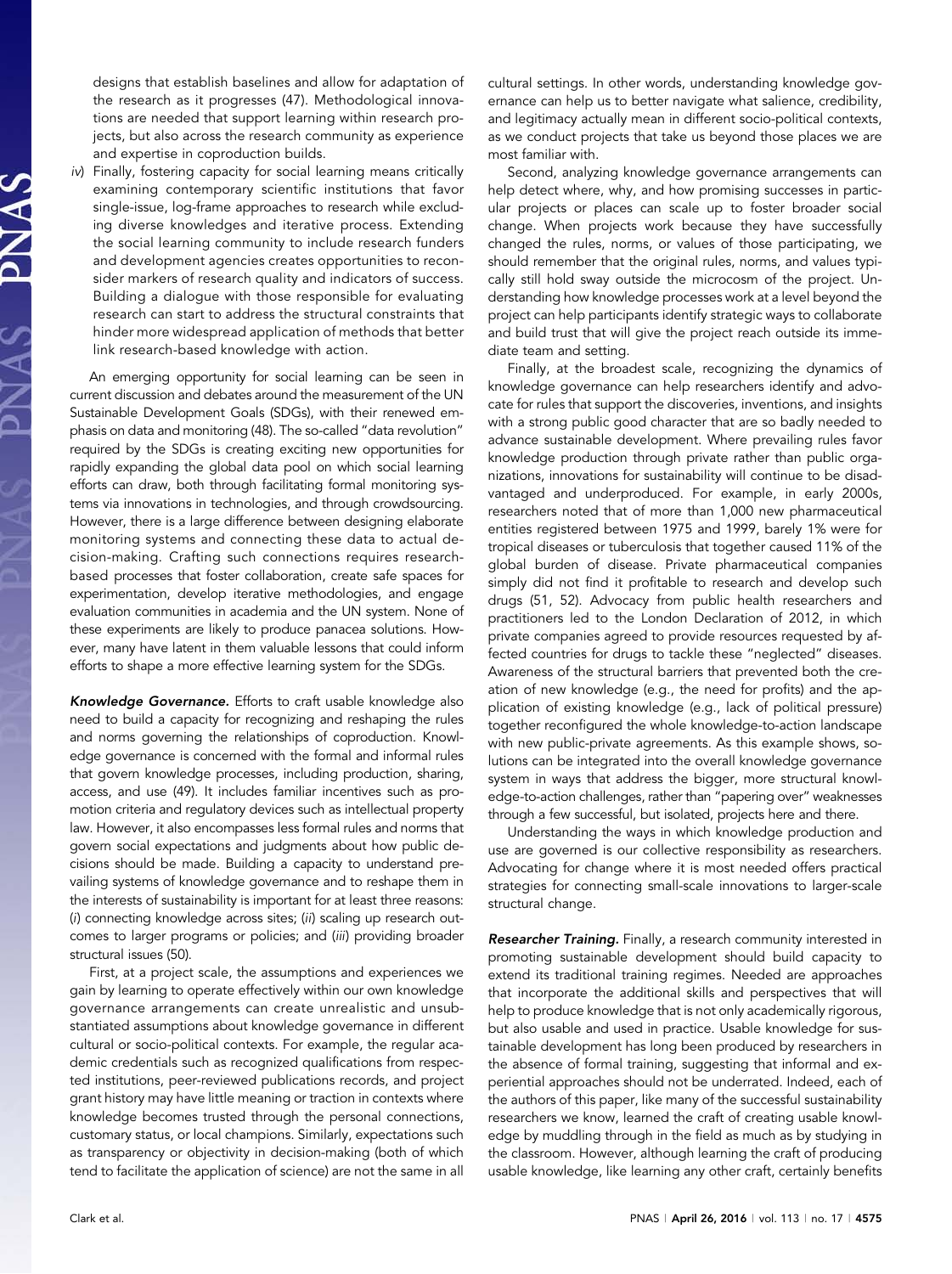designs that establish baselines and allow for adaptation of the research as it progresses (47). Methodological innovations are needed that support learning within research projects, but also across the research community as experience and expertise in coproduction builds.

iv) Finally, fostering capacity for social learning means critically examining contemporary scientific institutions that favor single-issue, log-frame approaches to research while excluding diverse knowledges and iterative process. Extending the social learning community to include research funders and development agencies creates opportunities to reconsider markers of research quality and indicators of success. Building a dialogue with those responsible for evaluating research can start to address the structural constraints that hinder more widespread application of methods that better link research-based knowledge with action.

An emerging opportunity for social learning can be seen in current discussion and debates around the measurement of the UN Sustainable Development Goals (SDGs), with their renewed emphasis on data and monitoring (48). The so-called "data revolution" required by the SDGs is creating exciting new opportunities for rapidly expanding the global data pool on which social learning efforts can draw, both through facilitating formal monitoring systems via innovations in technologies, and through crowdsourcing. However, there is a large difference between designing elaborate monitoring systems and connecting these data to actual decision-making. Crafting such connections requires researchbased processes that foster collaboration, create safe spaces for experimentation, develop iterative methodologies, and engage evaluation communities in academia and the UN system. None of these experiments are likely to produce panacea solutions. However, many have latent in them valuable lessons that could inform efforts to shape a more effective learning system for the SDGs.

Knowledge Governance. Efforts to craft usable knowledge also need to build a capacity for recognizing and reshaping the rules and norms governing the relationships of coproduction. Knowledge governance is concerned with the formal and informal rules that govern knowledge processes, including production, sharing, access, and use (49). It includes familiar incentives such as promotion criteria and regulatory devices such as intellectual property law. However, it also encompasses less formal rules and norms that govern social expectations and judgments about how public decisions should be made. Building a capacity to understand prevailing systems of knowledge governance and to reshape them in the interests of sustainability is important for at least three reasons: (i) connecting knowledge across sites; (ii) scaling up research outcomes to larger programs or policies; and (iii) providing broader structural issues (50).

First, at a project scale, the assumptions and experiences we gain by learning to operate effectively within our own knowledge governance arrangements can create unrealistic and unsubstantiated assumptions about knowledge governance in different cultural or socio-political contexts. For example, the regular academic credentials such as recognized qualifications from respected institutions, peer-reviewed publications records, and project grant history may have little meaning or traction in contexts where knowledge becomes trusted through the personal connections, customary status, or local champions. Similarly, expectations such as transparency or objectivity in decision-making (both of which tend to facilitate the application of science) are not the same in all

cultural settings. In other words, understanding knowledge governance can help us to better navigate what salience, credibility, and legitimacy actually mean in different socio-political contexts, as we conduct projects that take us beyond those places we are most familiar with.

Second, analyzing knowledge governance arrangements can help detect where, why, and how promising successes in particular projects or places can scale up to foster broader social change. When projects work because they have successfully changed the rules, norms, or values of those participating, we should remember that the original rules, norms, and values typically still hold sway outside the microcosm of the project. Understanding how knowledge processes work at a level beyond the project can help participants identify strategic ways to collaborate and build trust that will give the project reach outside its immediate team and setting.

Finally, at the broadest scale, recognizing the dynamics of knowledge governance can help researchers identify and advocate for rules that support the discoveries, inventions, and insights with a strong public good character that are so badly needed to advance sustainable development. Where prevailing rules favor knowledge production through private rather than public organizations, innovations for sustainability will continue to be disadvantaged and underproduced. For example, in early 2000s, researchers noted that of more than 1,000 new pharmaceutical entities registered between 1975 and 1999, barely 1% were for tropical diseases or tuberculosis that together caused 11% of the global burden of disease. Private pharmaceutical companies simply did not find it profitable to research and develop such drugs (51, 52). Advocacy from public health researchers and practitioners led to the London Declaration of 2012, in which private companies agreed to provide resources requested by affected countries for drugs to tackle these "neglected" diseases. Awareness of the structural barriers that prevented both the creation of new knowledge (e.g., the need for profits) and the application of existing knowledge (e.g., lack of political pressure) together reconfigured the whole knowledge-to-action landscape with new public-private agreements. As this example shows, solutions can be integrated into the overall knowledge governance system in ways that address the bigger, more structural knowledge-to-action challenges, rather than "papering over" weaknesses through a few successful, but isolated, projects here and there.

Understanding the ways in which knowledge production and use are governed is our collective responsibility as researchers. Advocating for change where it is most needed offers practical strategies for connecting small-scale innovations to larger-scale structural change.

Researcher Training. Finally, a research community interested in promoting sustainable development should build capacity to extend its traditional training regimes. Needed are approaches that incorporate the additional skills and perspectives that will help to produce knowledge that is not only academically rigorous, but also usable and used in practice. Usable knowledge for sustainable development has long been produced by researchers in the absence of formal training, suggesting that informal and experiential approaches should not be underrated. Indeed, each of the authors of this paper, like many of the successful sustainability researchers we know, learned the craft of creating usable knowledge by muddling through in the field as much as by studying in the classroom. However, although learning the craft of producing usable knowledge, like learning any other craft, certainly benefits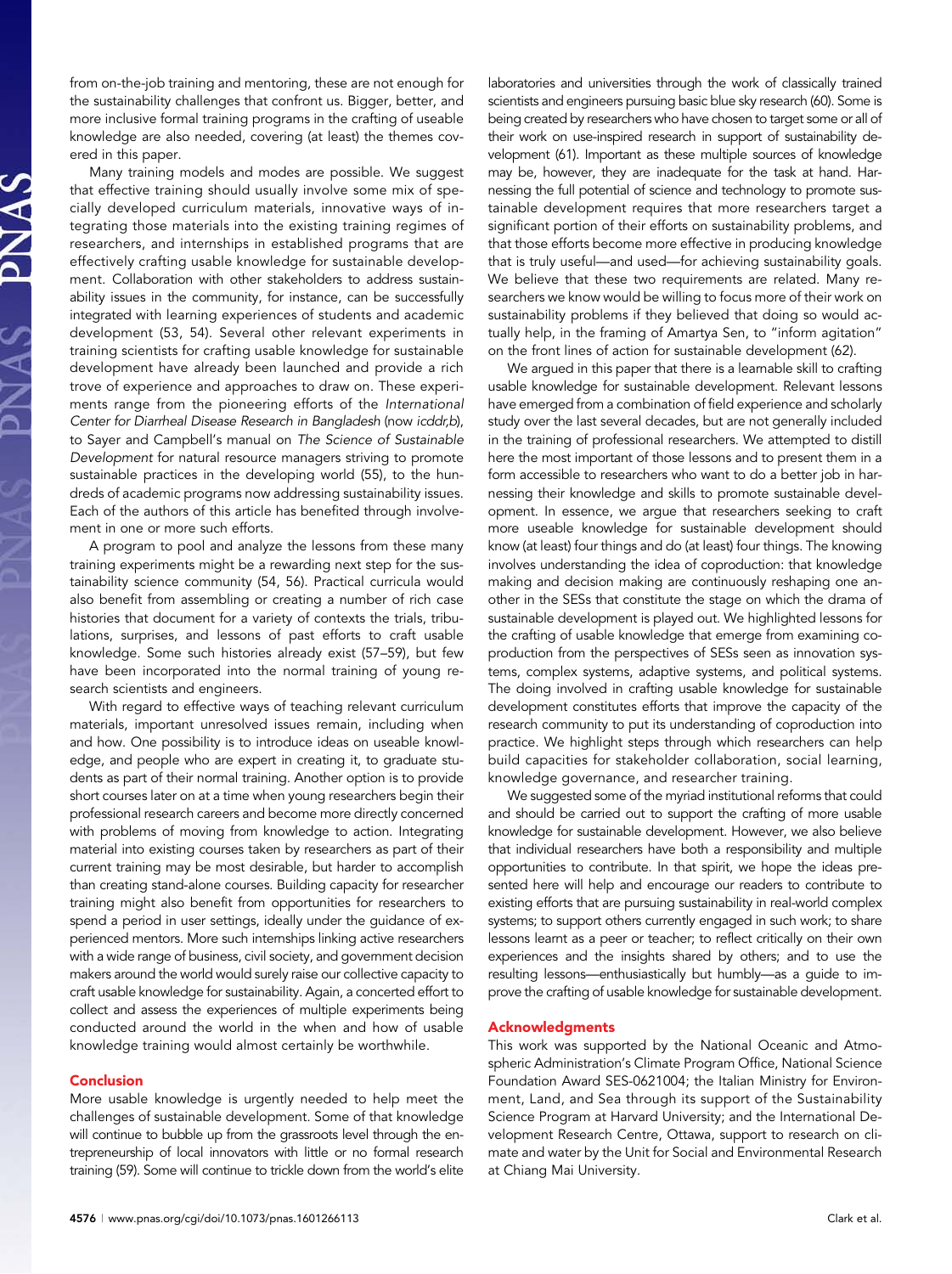from on-the-job training and mentoring, these are not enough for the sustainability challenges that confront us. Bigger, better, and more inclusive formal training programs in the crafting of useable knowledge are also needed, covering (at least) the themes covered in this paper.

Many training models and modes are possible. We suggest that effective training should usually involve some mix of specially developed curriculum materials, innovative ways of integrating those materials into the existing training regimes of researchers, and internships in established programs that are effectively crafting usable knowledge for sustainable development. Collaboration with other stakeholders to address sustainability issues in the community, for instance, can be successfully integrated with learning experiences of students and academic development (53, 54). Several other relevant experiments in training scientists for crafting usable knowledge for sustainable development have already been launched and provide a rich trove of experience and approaches to draw on. These experiments range from the pioneering efforts of the International Center for Diarrheal Disease Research in Bangladesh (now icddr,b), to Sayer and Campbell's manual on The Science of Sustainable Development for natural resource managers striving to promote sustainable practices in the developing world (55), to the hundreds of academic programs now addressing sustainability issues. Each of the authors of this article has benefited through involvement in one or more such efforts.

A program to pool and analyze the lessons from these many training experiments might be a rewarding next step for the sustainability science community (54, 56). Practical curricula would also benefit from assembling or creating a number of rich case histories that document for a variety of contexts the trials, tribulations, surprises, and lessons of past efforts to craft usable knowledge. Some such histories already exist (57–59), but few have been incorporated into the normal training of young research scientists and engineers.

With regard to effective ways of teaching relevant curriculum materials, important unresolved issues remain, including when and how. One possibility is to introduce ideas on useable knowledge, and people who are expert in creating it, to graduate students as part of their normal training. Another option is to provide short courses later on at a time when young researchers begin their professional research careers and become more directly concerned with problems of moving from knowledge to action. Integrating material into existing courses taken by researchers as part of their current training may be most desirable, but harder to accomplish than creating stand-alone courses. Building capacity for researcher training might also benefit from opportunities for researchers to spend a period in user settings, ideally under the guidance of experienced mentors. More such internships linking active researchers with a wide range of business, civil society, and government decision makers around the world would surely raise our collective capacity to craft usable knowledge for sustainability. Again, a concerted effort to collect and assess the experiences of multiple experiments being conducted around the world in the when and how of usable knowledge training would almost certainly be worthwhile.

#### Conclusion

More usable knowledge is urgently needed to help meet the challenges of sustainable development. Some of that knowledge will continue to bubble up from the grassroots level through the entrepreneurship of local innovators with little or no formal research training (59). Some will continue to trickle down from the world's elite laboratories and universities through the work of classically trained scientists and engineers pursuing basic blue sky research (60). Some is being created by researchers who have chosen to target some or all of their work on use-inspired research in support of sustainability development (61). Important as these multiple sources of knowledge may be, however, they are inadequate for the task at hand. Harnessing the full potential of science and technology to promote sustainable development requires that more researchers target a significant portion of their efforts on sustainability problems, and that those efforts become more effective in producing knowledge that is truly useful—and used—for achieving sustainability goals. We believe that these two requirements are related. Many researchers we know would be willing to focus more of their work on sustainability problems if they believed that doing so would actually help, in the framing of Amartya Sen, to "inform agitation" on the front lines of action for sustainable development (62).

We argued in this paper that there is a learnable skill to crafting usable knowledge for sustainable development. Relevant lessons have emerged from a combination of field experience and scholarly study over the last several decades, but are not generally included in the training of professional researchers. We attempted to distill here the most important of those lessons and to present them in a form accessible to researchers who want to do a better job in harnessing their knowledge and skills to promote sustainable development. In essence, we argue that researchers seeking to craft more useable knowledge for sustainable development should know (at least) four things and do (at least) four things. The knowing involves understanding the idea of coproduction: that knowledge making and decision making are continuously reshaping one another in the SESs that constitute the stage on which the drama of sustainable development is played out. We highlighted lessons for the crafting of usable knowledge that emerge from examining coproduction from the perspectives of SESs seen as innovation systems, complex systems, adaptive systems, and political systems. The doing involved in crafting usable knowledge for sustainable development constitutes efforts that improve the capacity of the research community to put its understanding of coproduction into practice. We highlight steps through which researchers can help build capacities for stakeholder collaboration, social learning, knowledge governance, and researcher training.

We suggested some of the myriad institutional reforms that could and should be carried out to support the crafting of more usable knowledge for sustainable development. However, we also believe that individual researchers have both a responsibility and multiple opportunities to contribute. In that spirit, we hope the ideas presented here will help and encourage our readers to contribute to existing efforts that are pursuing sustainability in real-world complex systems; to support others currently engaged in such work; to share lessons learnt as a peer or teacher; to reflect critically on their own experiences and the insights shared by others; and to use the resulting lessons—enthusiastically but humbly—as a guide to improve the crafting of usable knowledge for sustainable development.

## Acknowledgments

This work was supported by the National Oceanic and Atmospheric Administration's Climate Program Office, National Science Foundation Award SES-0621004; the Italian Ministry for Environment, Land, and Sea through its support of the Sustainability Science Program at Harvard University; and the International Development Research Centre, Ottawa, support to research on climate and water by the Unit for Social and Environmental Research at Chiang Mai University.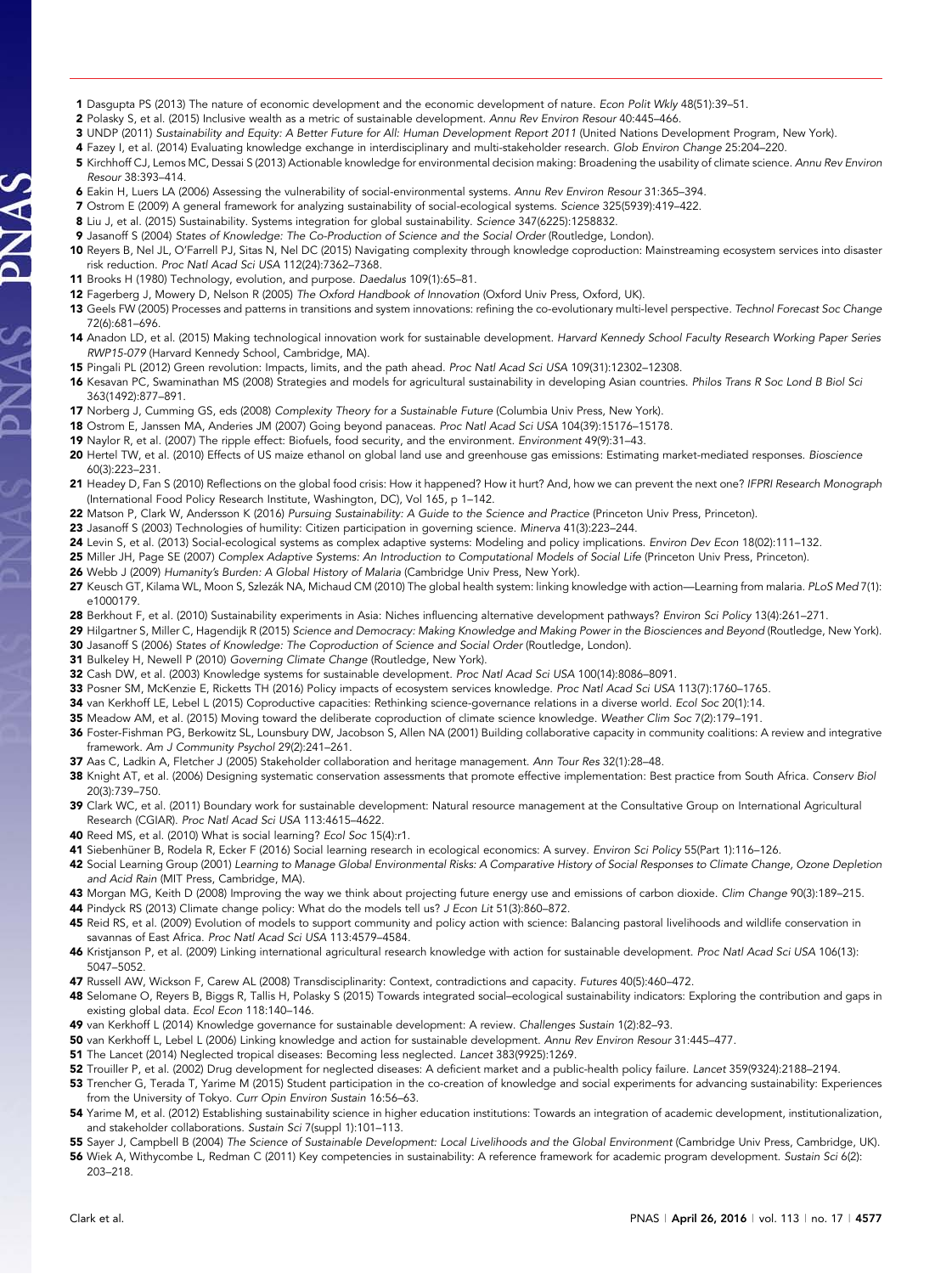- 1 Dasgupta PS (2013) The nature of economic development and the economic development of nature. Econ Polit Wkly 48(51):39–51.
- 2 Polasky S, et al. (2015) Inclusive wealth as a metric of sustainable development. Annu Rev Environ Resour 40:445–466.
- 3 UNDP (2011) Sustainability and Equity: A Better Future for All: Human Development Report 2011 (United Nations Development Program, New York).
- 4 Fazey I, et al. (2014) Evaluating knowledge exchange in interdisciplinary and multi-stakeholder research. Glob Environ Change 25:204–220.
- 5 Kirchhoff CJ, Lemos MC, Dessai S (2013) Actionable knowledge for environmental decision making: Broadening the usability of climate science. Annu Rev Environ Resour 38:393–414.
- 6 Eakin H, Luers LA (2006) Assessing the vulnerability of social-environmental systems. Annu Rev Environ Resour 31:365–394.
- 7 Ostrom E (2009) A general framework for analyzing sustainability of social-ecological systems. Science 325(5939):419–422.
- 8 Liu J, et al. (2015) Sustainability. Systems integration for global sustainability. Science 347(6225):1258832.
- 9 Jasanoff S (2004) States of Knowledge: The Co-Production of Science and the Social Order (Routledge, London).
- 10 Reyers B, Nel JL, O'Farrell PJ, Sitas N, Nel DC (2015) Navigating complexity through knowledge coproduction: Mainstreaming ecosystem services into disaster risk reduction. Proc Natl Acad Sci USA 112(24):7362–7368.
- 11 Brooks H (1980) Technology, evolution, and purpose. Daedalus 109(1):65–81.

S V N C

- 12 Fagerberg J, Mowery D, Nelson R (2005) The Oxford Handbook of Innovation (Oxford Univ Press, Oxford, UK).
- 13 Geels FW (2005) Processes and patterns in transitions and system innovations: refining the co-evolutionary multi-level perspective. Technol Forecast Soc Change 72(6):681–696.
- 14 Anadon LD, et al. (2015) Making technological innovation work for sustainable development. Harvard Kennedy School Faculty Research Working Paper Series RWP15-079 (Harvard Kennedy School, Cambridge, MA).
- 15 Pingali PL (2012) Green revolution: Impacts, limits, and the path ahead. Proc Natl Acad Sci USA 109(31):12302–12308.
- 16 Kesavan PC, Swaminathan MS (2008) Strategies and models for agricultural sustainability in developing Asian countries. Philos Trans R Soc Lond B Biol Sci 363(1492):877–891.
- 17 Norberg J, Cumming GS, eds (2008) Complexity Theory for a Sustainable Future (Columbia Univ Press, New York).
- 18 Ostrom E, Janssen MA, Anderies JM (2007) Going beyond panaceas. Proc Natl Acad Sci USA 104(39):15176–15178.
- 19 Naylor R, et al. (2007) The ripple effect: Biofuels, food security, and the environment. Environment 49(9):31–43.
- 20 Hertel TW, et al. (2010) Effects of US maize ethanol on global land use and greenhouse gas emissions: Estimating market-mediated responses. Bioscience 60(3):223–231.
- 21 Headey D, Fan S (2010) Reflections on the global food crisis: How it happened? How it hurt? And, how we can prevent the next one? IFPRI Research Monograph (International Food Policy Research Institute, Washington, DC), Vol 165, p 1–142.
- 22 Matson P, Clark W, Andersson K (2016) Pursuing Sustainability: A Guide to the Science and Practice (Princeton Univ Press, Princeton).
- 23 Jasanoff S (2003) Technologies of humility: Citizen participation in governing science. Minerva 41(3):223–244.
- 24 Levin S, et al. (2013) Social-ecological systems as complex adaptive systems: Modeling and policy implications. Environ Dev Econ 18(02):111-132.
- 25 Miller JH, Page SE (2007) Complex Adaptive Systems: An Introduction to Computational Models of Social Life (Princeton Univ Press, Princeton).
- 26 Webb J (2009) Humanity's Burden: A Global History of Malaria (Cambridge Univ Press, New York).
- 27 Keusch GT, Kilama WL, Moon S, Szlezák NA, Michaud CM (2010) The global health system: linking knowledge with action—Learning from malaria. PLoS Med 7(1): e1000179.
- 28 Berkhout F, et al. (2010) Sustainability experiments in Asia: Niches influencing alternative development pathways? Environ Sci Policy 13(4):261-271.
- 29 Hilgartner S, Miller C, Hagendijk R (2015) Science and Democracy: Making Knowledge and Making Power in the Biosciences and Beyond (Routledge, New York). 30 Jasanoff S (2006) States of Knowledge: The Coproduction of Science and Social Order (Routledge, London).
- 
- 31 Bulkeley H, Newell P (2010) Governing Climate Change (Routledge, New York).
- 32 Cash DW, et al. (2003) Knowledge systems for sustainable development. Proc Natl Acad Sci USA 100(14):8086–8091.
- 33 Posner SM, McKenzie E, Ricketts TH (2016) Policy impacts of ecosystem services knowledge. Proc Natl Acad Sci USA 113(7):1760-1765.
- 34 van Kerkhoff LE, Lebel L (2015) Coproductive capacities: Rethinking science-governance relations in a diverse world. Ecol Soc 20(1):14.
- 35 Meadow AM, et al. (2015) Moving toward the deliberate coproduction of climate science knowledge. Weather Clim Soc 7(2):179-191.
- 36 Foster-Fishman PG, Berkowitz SL, Lounsbury DW, Jacobson S, Allen NA (2001) Building collaborative capacity in community coalitions: A review and integrative framework. Am J Community Psychol 29(2):241–261.
- 37 Aas C, Ladkin A, Fletcher J (2005) Stakeholder collaboration and heritage management. Ann Tour Res 32(1):28–48.
- 38 Knight AT, et al. (2006) Designing systematic conservation assessments that promote effective implementation: Best practice from South Africa. Conserv Biol 20(3):739–750.
- 39 Clark WC, et al. (2011) Boundary work for sustainable development: Natural resource management at the Consultative Group on International Agricultural Research (CGIAR). Proc Natl Acad Sci USA 113:4615–4622.
- 40 Reed MS, et al. (2010) What is social learning? Ecol Soc 15(4):r1.
- 41 Siebenhüner B, Rodela R, Ecker F (2016) Social learning research in ecological economics: A survey. Environ Sci Policy 55(Part 1):116-126.
- 42 Social Learning Group (2001) Learning to Manage Global Environmental Risks: A Comparative History of Social Responses to Climate Change, Ozone Depletion and Acid Rain (MIT Press, Cambridge, MA).
- 43 Morgan MG, Keith D (2008) Improving the way we think about projecting future energy use and emissions of carbon dioxide. Clim Change 90(3):189–215.
- 44 Pindyck RS (2013) Climate change policy: What do the models tell us? J Econ Lit 51(3):860-872.
- 45 Reid RS, et al. (2009) Evolution of models to support community and policy action with science: Balancing pastoral livelihoods and wildlife conservation in savannas of East Africa. Proc Natl Acad Sci USA 113:4579–4584.
- 46 Kristjanson P, et al. (2009) Linking international agricultural research knowledge with action for sustainable development. Proc Natl Acad Sci USA 106(13): 5047–5052.
- 47 Russell AW, Wickson F, Carew AL (2008) Transdisciplinarity: Context, contradictions and capacity. Futures 40(5):460-472.
- 48 Selomane O, Reyers B, Biggs R, Tallis H, Polasky S (2015) Towards integrated social–ecological sustainability indicators: Exploring the contribution and gaps in existing global data. Ecol Econ 118:140–146.
- 49 van Kerkhoff L (2014) Knowledge governance for sustainable development: A review. Challenges Sustain 1(2):82-93.
- 50 van Kerkhoff L, Lebel L (2006) Linking knowledge and action for sustainable development. Annu Rev Environ Resour 31:445–477.
- 51 The Lancet (2014) Neglected tropical diseases: Becoming less neglected. Lancet 383(9925):1269.
- 52 Trouiller P, et al. (2002) Drug development for neglected diseases: A deficient market and a public-health policy failure. Lancet 359(9324):2188–2194.
- 53 Trencher G, Terada T, Yarime M (2015) Student participation in the co-creation of knowledge and social experiments for advancing sustainability: Experiences from the University of Tokyo. Curr Opin Environ Sustain 16:56–63.
- 54 Yarime M, et al. (2012) Establishing sustainability science in higher education institutions: Towards an integration of academic development, institutionalization, and stakeholder collaborations. Sustain Sci 7(suppl 1):101–113.
- 55 Sayer J, Campbell B (2004) The Science of Sustainable Development: Local Livelihoods and the Global Environment (Cambridge Univ Press, Cambridge, UK).
- 56 Wiek A, Withycombe L, Redman C (2011) Key competencies in sustainability: A reference framework for academic program development. Sustain Sci 6(2): 203–218.